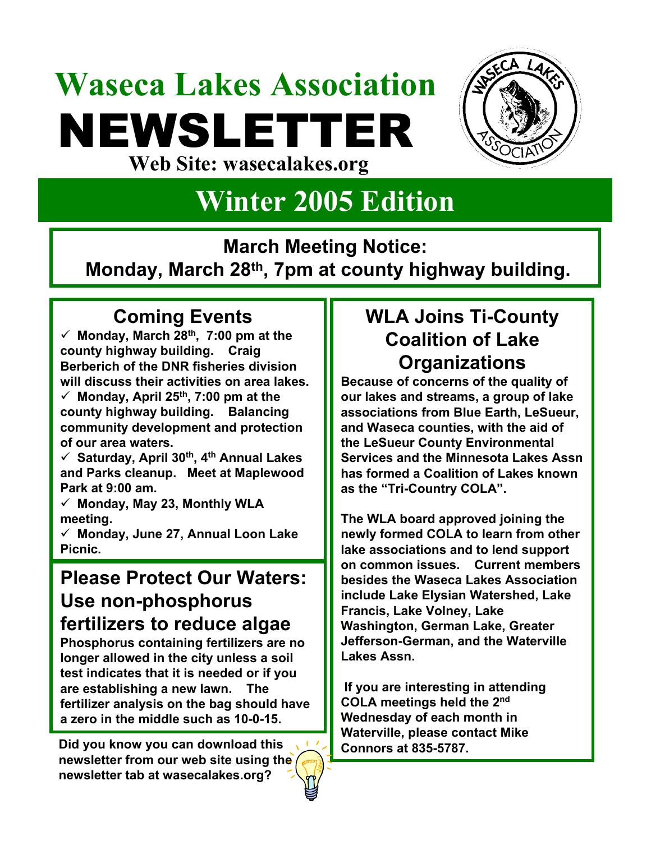## **Waseca Lakes Association** NEWSLETTER **Web Site: wasecalakes.org**



### **Winter 2005 Edition**

**March Meeting Notice:** 

**Monday, March 28th, 7pm at county highway building.**

#### **Coming Events**

 $\checkmark$  Monday, March 28<sup>th</sup>, 7:00 pm at the **county highway building. Craig Berberich of the DNR fisheries division will discuss their activities on area lakes.**  $\checkmark$  Monday, April 25<sup>th</sup>, 7:00 pm at the **county highway building. Balancing community development and protection of our area waters.**

9 **Saturday, April 30th, 4th Annual Lakes and Parks cleanup. Meet at Maplewood Park at 9:00 am.**

9 **Monday, May 23, Monthly WLA meeting.**

9 **Monday, June 27, Annual Loon Lake Picnic.**

#### **Please Protect Our Waters: Use non-phosphorus fertilizers to reduce algae**

**Phosphorus containing fertilizers are no longer allowed in the city unless a soil test indicates that it is needed or if you are establishing a new lawn. The fertilizer analysis on the bag should have a zero in the middle such as 10-0-15.** 

**Did you know you can download this**  $\sqrt{2}$  **Connors at 835-5787. newsletter from our web site using the newsletter tab at wasecalakes.org?**

#### **WLA Joins Ti-County Coalition of Lake Organizations**

**Because of concerns of the quality of our lakes and streams, a group of lake associations from Blue Earth, LeSueur, and Waseca counties, with the aid of the LeSueur County Environmental Services and the Minnesota Lakes Assn has formed a Coalition of Lakes known as the "Tri-Country COLA".** 

**The WLA board approved joining the newly formed COLA to learn from other lake associations and to lend support on common issues. Current members besides the Waseca Lakes Association include Lake Elysian Watershed, Lake Francis, Lake Volney, Lake Washington, German Lake, Greater Jefferson-German, and the Waterville Lakes Assn.** 

**If you are interesting in attending COLA meetings held the 2nd Wednesday of each month in Waterville, please contact Mike**